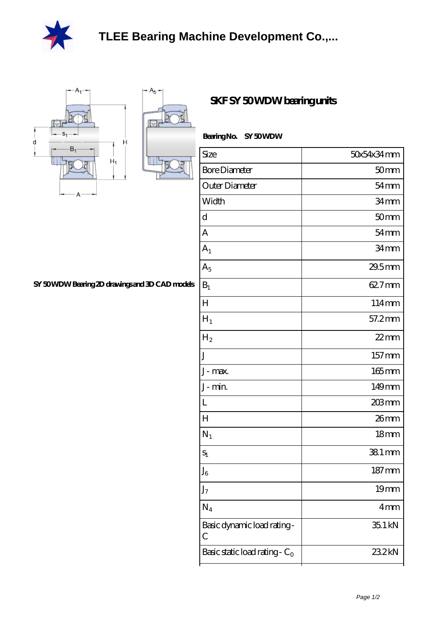

 $A_{5}$ 

р 側



**[SY 50 WDW Bearing 2D drawings and 3D CAD models](https://udfif.com/pic-38793.html)**

| SKF SY 50WDW bearing units |  |  |  |  |
|----------------------------|--|--|--|--|
|----------------------------|--|--|--|--|

| Size                                        | 50x54x34mm          |  |
|---------------------------------------------|---------------------|--|
| <b>Bore Diameter</b>                        | 50 <sub>mm</sub>    |  |
| Outer Diameter                              | $54 \text{mm}$      |  |
| Width                                       | 34 <sub>mm</sub>    |  |
| d                                           | 50 <sub>mm</sub>    |  |
| A                                           | $54 \text{mm}$      |  |
| $A_1$                                       | 34mm                |  |
| $A_5$                                       | 29.5mm              |  |
| $B_1$                                       | 62.7mm              |  |
| H                                           | 114mm               |  |
| $H_1$                                       | 57.2mm              |  |
| $\rm{H}_{2}$                                | $22$ mm             |  |
| J                                           | $157 \,\mathrm{mm}$ |  |
| J-max.                                      | $165$ mm            |  |
| J-min.                                      | 149mm               |  |
| L                                           | $203$ mm            |  |
| $H_{\rm}$                                   | 26mm                |  |
| $N_1$                                       | 18 <sub>mm</sub>    |  |
| $S_1$                                       | 38.1 mm             |  |
| ${\rm J_6}$                                 | $187 \text{mm}$     |  |
| $J_7$                                       | 19 <sub>mm</sub>    |  |
| $N_4$                                       | 4mm                 |  |
| Basic dynamic load rating-<br>$\mathcal{C}$ | 35.1 kN             |  |
| Basic static load rating - $C_0$            | 23.2kN              |  |
|                                             |                     |  |